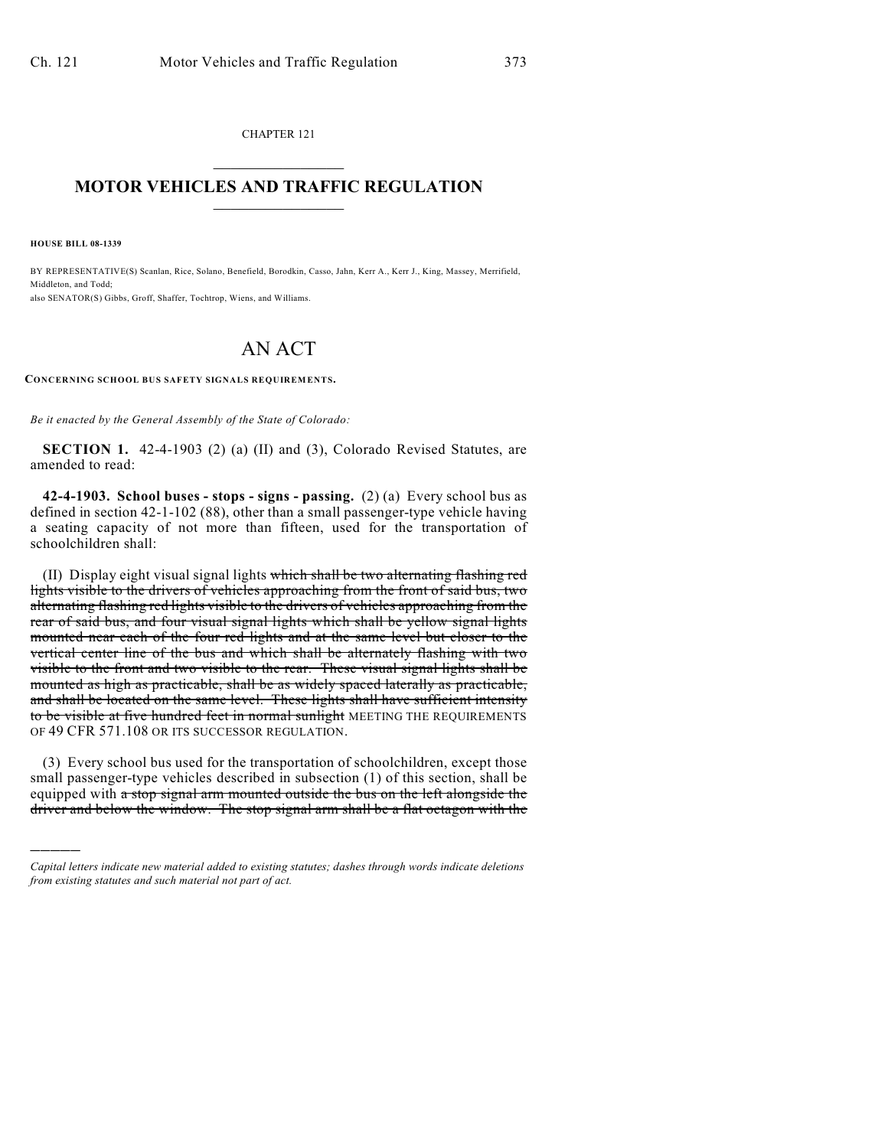CHAPTER 121  $\mathcal{L}_\text{max}$  . The set of the set of the set of the set of the set of the set of the set of the set of the set of the set of the set of the set of the set of the set of the set of the set of the set of the set of the set

## **MOTOR VEHICLES AND TRAFFIC REGULATION**  $\frac{1}{2}$  ,  $\frac{1}{2}$  ,  $\frac{1}{2}$  ,  $\frac{1}{2}$  ,  $\frac{1}{2}$  ,  $\frac{1}{2}$  ,  $\frac{1}{2}$  ,  $\frac{1}{2}$

**HOUSE BILL 08-1339**

)))))

BY REPRESENTATIVE(S) Scanlan, Rice, Solano, Benefield, Borodkin, Casso, Jahn, Kerr A., Kerr J., King, Massey, Merrifield, Middleton, and Todd; also SENATOR(S) Gibbs, Groff, Shaffer, Tochtrop, Wiens, and Williams.

## AN ACT

**CONCERNING SCHOOL BUS SAFETY SIGNALS REQUIREMENTS.**

*Be it enacted by the General Assembly of the State of Colorado:*

**SECTION 1.** 42-4-1903 (2) (a) (II) and (3), Colorado Revised Statutes, are amended to read:

**42-4-1903. School buses - stops - signs - passing.** (2) (a) Every school bus as defined in section 42-1-102 (88), other than a small passenger-type vehicle having a seating capacity of not more than fifteen, used for the transportation of schoolchildren shall:

(II) Display eight visual signal lights which shall be two alternating flashing red lights visible to the drivers of vehicles approaching from the front of said bus, two alternating flashing red lights visible to the drivers of vehicles approaching from the rear of said bus, and four visual signal lights which shall be yellow signal lights mounted near each of the four red lights and at the same level but closer to the vertical center line of the bus and which shall be alternately flashing with two visible to the front and two visible to the rear. These visual signal lights shall be mounted as high as practicable, shall be as widely spaced laterally as practicable, and shall be located on the same level. These lights shall have sufficient intensity to be visible at five hundred feet in normal sunlight MEETING THE REQUIREMENTS OF 49 CFR 571.108 OR ITS SUCCESSOR REGULATION.

(3) Every school bus used for the transportation of schoolchildren, except those small passenger-type vehicles described in subsection (1) of this section, shall be equipped with a stop signal arm mounted outside the bus on the left alongside the driver and below the window. The stop signal arm shall be a flat octagon with the

*Capital letters indicate new material added to existing statutes; dashes through words indicate deletions from existing statutes and such material not part of act.*